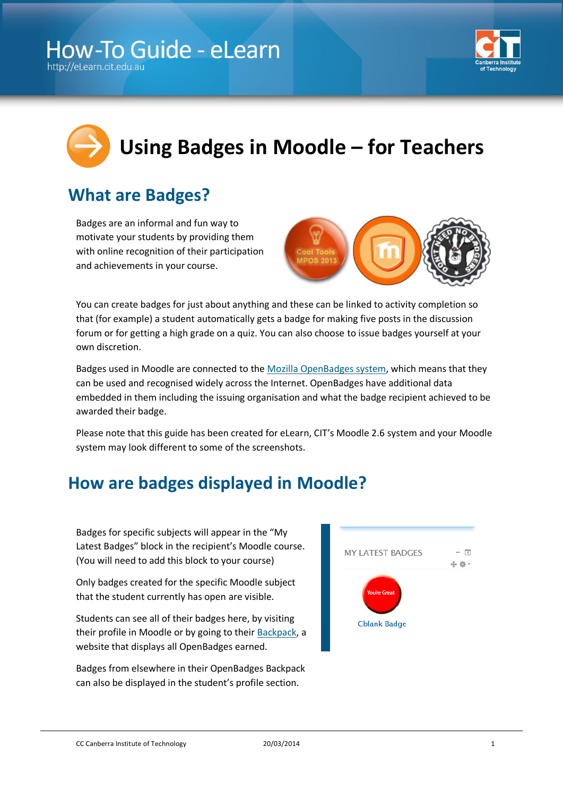

# **Using Badges in Moodle – for Teachers**

## **What are Badges?**

Badges are an informal and fun way to motivate your students by providing them with online recognition of their participation and achievements in your course.



You can create badges for just about anything and these can be linked to activity completion so that (for example) a student automatically gets a badge for making five posts in the discussion forum or for getting a high grade on a quiz. You can also choose to issue badges yourself at your own discretion.

Badges used in Moodle are connected to the [Mozilla OpenBadges system,](http://openbadges.org/about/) which means that they can be used and recognised widely across the Internet. OpenBadges have additional data embedded in them including the issuing organisation and what the badge recipient achieved to be awarded their badge.

Please note that this guide has been created for eLearn, CIT's Moodle 2.6 system and your Moodle system may look different to some of the screenshots.

## **How are badges displayed in Moodle?**

Badges for specific subjects will appear in the "My Latest Badges" block in the recipient's Moodle course. (You will need to add this block to your course)

Only badges created for the specific Moodle subject that the student currently has open are visible.

Students can see all of their badges here, by visiting their profile in Moodle or by going to their [Backpack,](http://backpack.openbadges.org/) a website that displays all OpenBadges earned.

Badges from elsewhere in their OpenBadges Backpack can also be displayed in the student's profile section.



CC Canberra Institute of Technology 20/03/2014 20/03/2014 1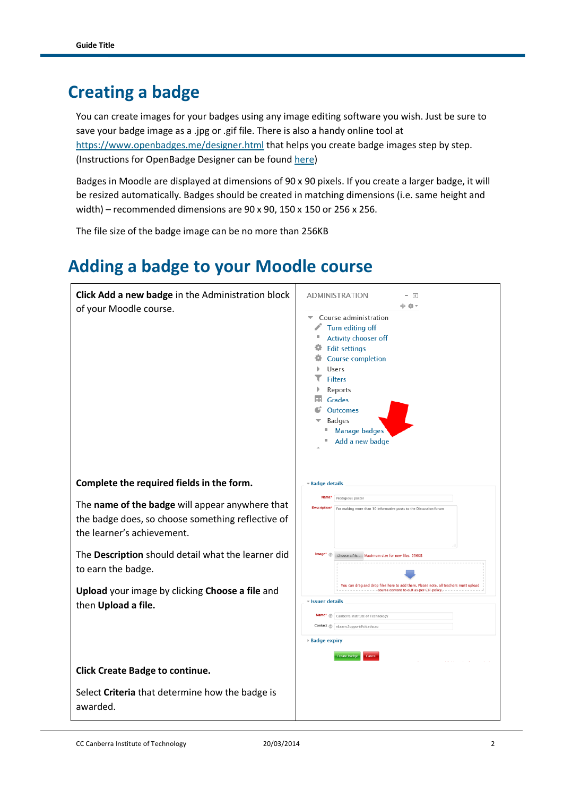#### **Creating a badge**

You can create images for your badges using any image editing software you wish. Just be sure to save your badge image as a .jpg or .gif file. There is also a handy online tool at <https://www.openbadges.me/designer.html> that helps you create badge images step by step. (Instructions for OpenBadge Designer can be found [here\)](https://www.openbadges.me/help.html#.UxenFBDm695)

Badges in Moodle are displayed at dimensions of 90 x 90 pixels. If you create a larger badge, it will be resized automatically. Badges should be created in matching dimensions (i.e. same height and width) – recommended dimensions are 90 x 90, 150 x 150 or 256 x 256.

The file size of the badge image can be no more than 256KB

# **Adding a badge to your Moodle course**



CC Canberra Institute of Technology 20/03/2014 2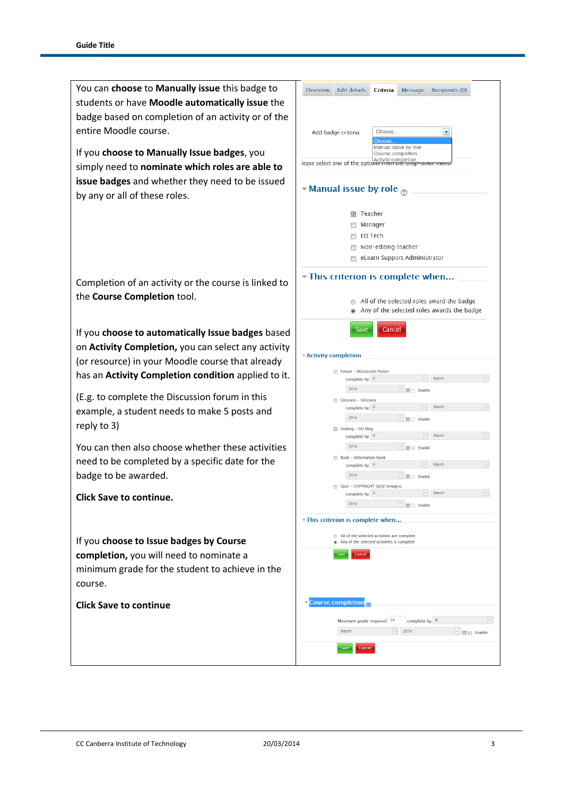